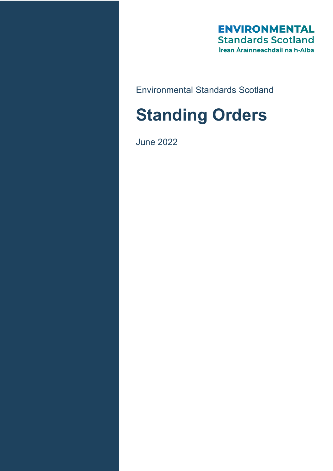# **ENVIRONMENTAL Standards Scotland** Ìrean Àrainneachdail na h-Alba

Environmental Standards Scotland

# **Standing Orders**

June 2022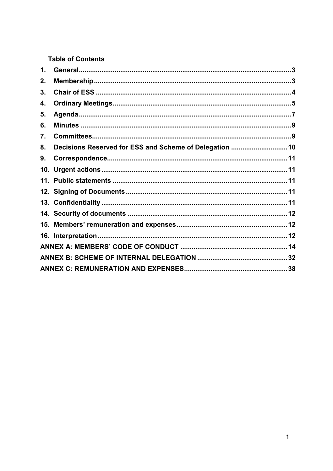**Table of Contents** 

| $\mathbf 1$ . |                                                         |  |
|---------------|---------------------------------------------------------|--|
| 2.            |                                                         |  |
| 3.            |                                                         |  |
| 4.            |                                                         |  |
| 5.            |                                                         |  |
| 6.            |                                                         |  |
| 7.            |                                                         |  |
| 8.            | Decisions Reserved for ESS and Scheme of Delegation  10 |  |
| 9.            |                                                         |  |
|               |                                                         |  |
|               |                                                         |  |
|               |                                                         |  |
|               |                                                         |  |
|               |                                                         |  |
|               |                                                         |  |
|               |                                                         |  |
|               |                                                         |  |
|               |                                                         |  |
|               |                                                         |  |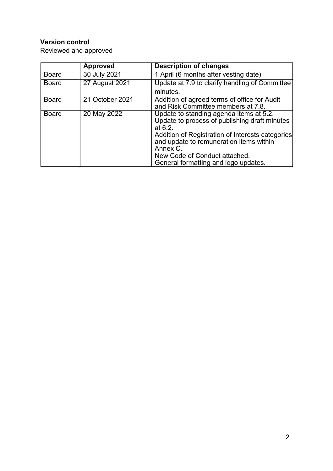# **Version control**

Reviewed and approved

|              | <b>Approved</b> | <b>Description of changes</b>                                                                                                                                                                                                                                                              |
|--------------|-----------------|--------------------------------------------------------------------------------------------------------------------------------------------------------------------------------------------------------------------------------------------------------------------------------------------|
| <b>Board</b> | 30 July 2021    | 1 April (6 months after vesting date)                                                                                                                                                                                                                                                      |
| <b>Board</b> | 27 August 2021  | Update at 7.9 to clarify handling of Committee                                                                                                                                                                                                                                             |
|              |                 | minutes.                                                                                                                                                                                                                                                                                   |
| <b>Board</b> | 21 October 2021 | Addition of agreed terms of office for Audit<br>and Risk Committee members at 7.8.                                                                                                                                                                                                         |
| <b>Board</b> | 20 May 2022     | Update to standing agenda items at 5.2.<br>Update to process of publishing draft minutes<br>at $6.2$ .<br>Addition of Registration of Interests categories<br>and update to remuneration items within<br>Annex C.<br>New Code of Conduct attached.<br>General formatting and logo updates. |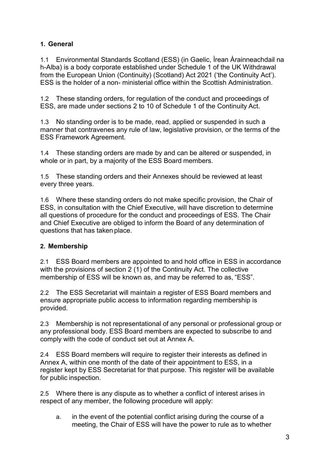## <span id="page-3-0"></span>**1. General**

1.1 Environmental Standards Scotland (ESS) (in Gaelic, Ìrean Àrainneachdail na h-Alba) is a body corporate established under Schedule 1 of the UK Withdrawal from the European Union (Continuity) (Scotland) Act 2021 ('the Continuity Act'). ESS is the holder of a non- ministerial office within the Scottish Administration.

1.2 These standing orders, for regulation of the conduct and proceedings of ESS, are made under sections 2 to 10 of Schedule 1 of the Continuity Act.

1.3 No standing order is to be made, read, applied or suspended in such a manner that contravenes any rule of law, legislative provision, or the terms of the ESS Framework Agreement.

1.4 These standing orders are made by and can be altered or suspended, in whole or in part, by a majority of the ESS Board members.

1.5 These standing orders and their Annexes should be reviewed at least every three years.

1.6 Where these standing orders do not make specific provision, the Chair of ESS, in consultation with the Chief Executive, will have discretion to determine all questions of procedure for the conduct and proceedings of ESS. The Chair and Chief Executive are obliged to inform the Board of any determination of questions that has taken place.

## <span id="page-3-1"></span>**2. Membership**

2.1 ESS Board members are appointed to and hold office in ESS in accordance with the provisions of section 2 (1) of the Continuity Act. The collective membership of ESS will be known as, and may be referred to as, "ESS".

2.2 The ESS Secretariat will maintain a register of ESS Board members and ensure appropriate public access to information regarding membership is provided.

2.3 Membership is not representational of any personal or professional group or any professional body. ESS Board members are expected to subscribe to and comply with the code of conduct set out at Annex A.

2.4 ESS Board members will require to register their interests as defined in Annex A, within one month of the date of their appointment to ESS, in a register kept by ESS Secretariat for that purpose. This register will be available for public inspection.

2.5 Where there is any dispute as to whether a conflict of interest arises in respect of any member, the following procedure will apply:

a. in the event of the potential conflict arising during the course of a meeting, the Chair of ESS will have the power to rule as to whether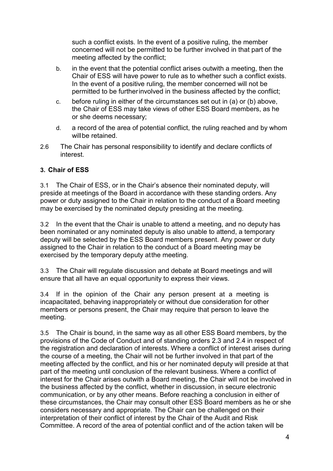such a conflict exists. In the event of a positive ruling, the member concerned will not be permitted to be further involved in that part of the meeting affected by the conflict;

- b. in the event that the potential conflict arises outwith a meeting, then the Chair of ESS will have power to rule as to whether such a conflict exists. In the event of a positive ruling, the member concerned will not be permitted to be furtherinvolved in the business affected by the conflict;
- c. before ruling in either of the circumstances set out in (a) or (b) above, the Chair of ESS may take views of other ESS Board members, as he or she deems necessary;
- d. a record of the area of potential conflict, the ruling reached and by whom will be retained.
- 2.6 The Chair has personal responsibility to identify and declare conflicts of interest.

## <span id="page-4-0"></span>**3. Chair of ESS**

3.1 The Chair of ESS, or in the Chair's absence their nominated deputy, will preside at meetings of the Board in accordance with these standing orders. Any power or duty assigned to the Chair in relation to the conduct of a Board meeting may be exercised by the nominated deputy presiding at the meeting.

3.2 In the event that the Chair is unable to attend a meeting, and no deputy has been nominated or any nominated deputy is also unable to attend, a temporary deputy will be selected by the ESS Board members present. Any power or duty assigned to the Chair in relation to the conduct of a Board meeting may be exercised by the temporary deputy atthe meeting.

3.3 The Chair will regulate discussion and debate at Board meetings and will ensure that all have an equal opportunity to express their views.

3.4 If in the opinion of the Chair any person present at a meeting is incapacitated, behaving inappropriately or without due consideration for other members or persons present, the Chair may require that person to leave the meeting.

3.5 The Chair is bound, in the same way as all other ESS Board members, by the provisions of the Code of Conduct and of standing orders 2.3 and 2.4 in respect of the registration and declaration of interests. Where a conflict of interest arises during the course of a meeting, the Chair will not be further involved in that part of the meeting affected by the conflict, and his or her nominated deputy will preside at that part of the meeting until conclusion of the relevant business. Where a conflict of interest for the Chair arises outwith a Board meeting, the Chair will not be involved in the business affected by the conflict, whether in discussion, in secure electronic communication, or by any other means. Before reaching a conclusion in either of these circumstances, the Chair may consult other ESS Board members as he or she considers necessary and appropriate. The Chair can be challenged on their interpretation of their conflict of interest by the Chair of the Audit and Risk Committee. A record of the area of potential conflict and of the action taken will be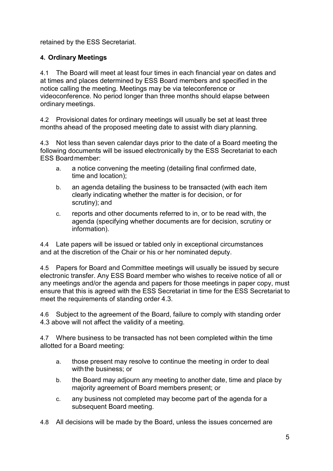retained by the ESS Secretariat.

## <span id="page-5-0"></span>**4. Ordinary Meetings**

4.1 The Board will meet at least four times in each financial year on dates and at times and places determined by ESS Board members and specified in the notice calling the meeting. Meetings may be via teleconference or videoconference. No period longer than three months should elapse between ordinary meetings.

4.2 Provisional dates for ordinary meetings will usually be set at least three months ahead of the proposed meeting date to assist with diary planning.

4.3 Not less than seven calendar days prior to the date of a Board meeting the following documents will be issued electronically by the ESS Secretariat to each ESS Boardmember:

- a. a notice convening the meeting (detailing final confirmed date, time and location);
- b. an agenda detailing the business to be transacted (with each item clearly indicating whether the matter is for decision, or for scrutiny); and
- c. reports and other documents referred to in, or to be read with, the agenda (specifying whether documents are for decision, scrutiny or information).

4.4 Late papers will be issued or tabled only in exceptional circumstances and at the discretion of the Chair or his or her nominated deputy.

4.5 Papers for Board and Committee meetings will usually be issued by secure electronic transfer. Any ESS Board member who wishes to receive notice of all or any meetings and/or the agenda and papers for those meetings in paper copy, must ensure that this is agreed with the ESS Secretariat in time for the ESS Secretariat to meet the requirements of standing order 4.3.

4.6 Subject to the agreement of the Board, failure to comply with standing order 4.3 above will not affect the validity of a meeting.

4.7 Where business to be transacted has not been completed within the time allotted for a Board meeting:

- a. those present may resolve to continue the meeting in order to deal with the business; or
- b. the Board may adjourn any meeting to another date, time and place by majority agreement of Board members present; or
- c. any business not completed may become part of the agenda for a subsequent Board meeting.
- 4.8 All decisions will be made by the Board, unless the issues concerned are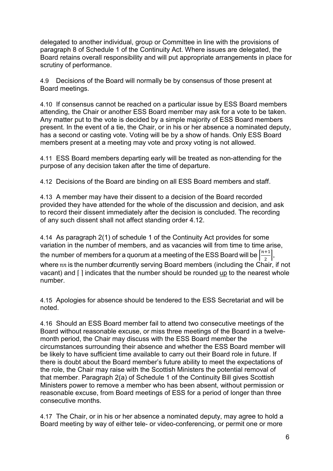delegated to another individual, group or Committee in line with the provisions of paragraph 8 of Schedule 1 of the Continuity Act. Where issues are delegated, the Board retains overall responsibility and will put appropriate arrangements in place for scrutiny of performance.

4.9 Decisions of the Board will normally be by consensus of those present at Board meetings.

4.10 If consensus cannot be reached on a particular issue by ESS Board members attending, the Chair or another ESS Board member may ask for a vote to be taken. Any matter put to the vote is decided by a simple majority of ESS Board members present. In the event of a tie, the Chair, or in his or her absence a nominated deputy, has a second or casting vote. Voting will be by a show of hands. Only ESS Board members present at a meeting may vote and proxy voting is not allowed.

4.11 ESS Board members departing early will be treated as non-attending for the purpose of any decision taken after the time of departure.

<span id="page-6-0"></span>4.12 Decisions of the Board are binding on all ESS Board members and staff.

4.13 A member may have their dissent to a decision of the Board recorded provided they have attended for the whole of the discussion and decision, and ask to record their dissent immediately after the decision is concluded. The recording of any such dissent shall not affect standing order [4.12.](#page-6-0)

<span id="page-6-2"></span>4.14 As paragraph 2(1) of schedule 1 of the Continuity Act provides for some variation in the number of members, and as vacancies will from time to time arise, the number of members for a quorum at a meeting of the ESS Board will be  $\left|\frac{n+1}{2}\right|$ , where  $nn$  is the number of currently serving Board members (including the Chair, if not vacant) and [] indicates that the number should be rounded up to the nearest whole number.

4.15 Apologies for absence should be tendered to the ESS Secretariat and will be noted.

4.16 Should an ESS Board member fail to attend two consecutive meetings of the Board without reasonable excuse, or miss three meetings of the Board in a twelvemonth period, the Chair may discuss with the ESS Board member the circumstances surrounding their absence and whether the ESS Board member will be likely to have sufficient time available to carry out their Board role in future. If there is doubt about the Board member's future ability to meet the expectations of the role, the Chair may raise with the Scottish Ministers the potential removal of that member. Paragraph 2(a) of Schedule 1 of the Continuity Bill gives Scottish Ministers power to remove a member who has been absent, without permission or reasonable excuse, from Board meetings of ESS for a period of longer than three consecutive months.

<span id="page-6-1"></span>4.17 The Chair, or in his or her absence a nominated deputy, may agree to hold a Board meeting by way of either tele- or video-conferencing, or permit one or more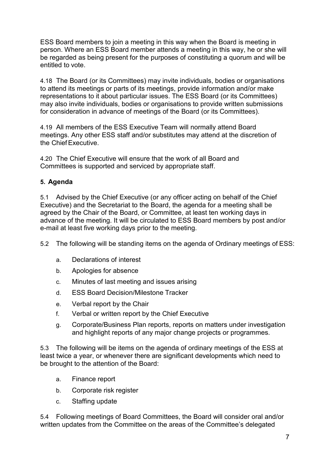ESS Board members to join a meeting in this way when the Board is meeting in person. Where an ESS Board member attends a meeting in this way, he or she will be regarded as being present for the purposes of constituting a quorum and will be entitled to vote.

4.18 The Board (or its Committees) may invite individuals, bodies or organisations to attend its meetings or parts of its meetings, provide information and/or make representations to it about particular issues. The ESS Board (or its Committees) may also invite individuals, bodies or organisations to provide written submissions for consideration in advance of meetings of the Board (or its Committees).

4.19 All members of the ESS Executive Team will normally attend Board meetings. Any other ESS staff and/or substitutes may attend at the discretion of the ChiefExecutive.

4.20 The Chief Executive will ensure that the work of all Board and Committees is supported and serviced by appropriate staff.

## <span id="page-7-0"></span>**5. Agenda**

5.1 Advised by the Chief Executive (or any officer acting on behalf of the Chief Executive) and the Secretariat to the Board, the agenda for a meeting shall be agreed by the Chair of the Board, or Committee, at least ten working days in advance of the meeting. It will be circulated to ESS Board members by post and/or e-mail at least five working days prior to the meeting.

5.2 The following will be standing items on the agenda of Ordinary meetings of ESS:

- a. Declarations of interest
- b. Apologies for absence
- c. Minutes of last meeting and issues arising
- d. ESS Board Decision/Milestone Tracker
- e. Verbal report by the Chair
- f. Verbal or written report by the Chief Executive
- g. Corporate/Business Plan reports, reports on matters under investigation and highlight reports of any major change projects or programmes.

5.3 The following will be items on the agenda of ordinary meetings of the ESS at least twice a year, or whenever there are significant developments which need to be brought to the attention of the Board:

- a. Finance report
- b. Corporate risk register
- c. Staffing update

5.4 Following meetings of Board Committees, the Board will consider oral and/or written updates from the Committee on the areas of the Committee's delegated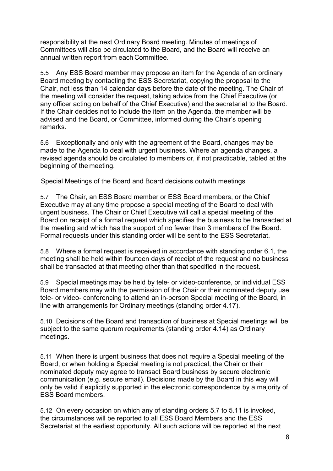responsibility at the next Ordinary Board meeting. Minutes of meetings of Committees will also be circulated to the Board, and the Board will receive an annual written report from each Committee.

5.5 Any ESS Board member may propose an item for the Agenda of an ordinary Board meeting by contacting the ESS Secretariat, copying the proposal to the Chair, not less than 14 calendar days before the date of the meeting. The Chair of the meeting will consider the request, taking advice from the Chief Executive (or any officer acting on behalf of the Chief Executive) and the secretariat to the Board. If the Chair decides not to include the item on the Agenda, the member will be advised and the Board, or Committee, informed during the Chair's opening remarks.

5.6 Exceptionally and only with the agreement of the Board, changes may be made to the Agenda to deal with urgent business. Where an agenda changes, a revised agenda should be circulated to members or, if not practicable, tabled at the beginning of the meeting.

Special Meetings of the Board and Board decisions outwith meetings

<span id="page-8-0"></span>5.7 The Chair, an ESS Board member or ESS Board members, or the Chief Executive may at any time propose a special meeting of the Board to deal with urgent business. The Chair or Chief Executive will call a special meeting of the Board on receipt of a formal request which specifies the business to be transacted at the meeting and which has the support of no fewer than 3 members of the Board. Formal requests under this standing order will be sent to the ESS Secretariat.

5.8 Where a formal request is received in accordance with standing order [6.1,](#page-8-0) the meeting shall be held within fourteen days of receipt of the request and no business shall be transacted at that meeting other than that specified in the request.

5.9 Special meetings may be held by tele- or video-conference, or individual ESS Board members may with the permission of the Chair or their nominated deputy use tele- or video- conferencing to attend an in-person Special meeting of the Board, in line with arrangements for Ordinary meetings (standing order [4.17\)](#page-6-1).

5.10 Decisions of the Board and transaction of business at Special meetings will be subject to the same quorum requirements (standing order [4.14\)](#page-6-2) as Ordinary meetings.

<span id="page-8-1"></span>5.11 When there is urgent business that does not require a Special meeting of the Board, or when holding a Special meeting is not practical, the Chair or their nominated deputy may agree to transact Board business by secure electronic communication (e.g. secure email). Decisions made by the Board in this way will only be valid if explicitly supported in the electronic correspondence by a majority of ESS Board members.

5.12 On every occasion on which any of standing orders [5.7](#page-8-0) to [5.11](#page-8-1) is invoked, the circumstances will be reported to all ESS Board Members and the ESS Secretariat at the earliest opportunity. All such actions will be reported at the next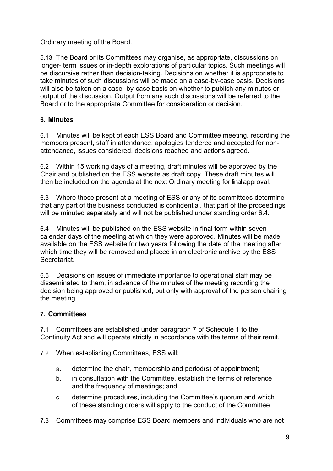## Ordinary meeting of the Board.

5.13 The Board or its Committees may organise, as appropriate, discussions on longer- term issues or in-depth explorations of particular topics. Such meetings will be discursive rather than decision-taking. Decisions on whether it is appropriate to take minutes of such discussions will be made on a case-by-case basis. Decisions will also be taken on a case- by-case basis on whether to publish any minutes or output of the discussion. Output from any such discussions will be referred to the Board or to the appropriate Committee for consideration or decision.

## <span id="page-9-0"></span>**6. Minutes**

6.1 Minutes will be kept of each ESS Board and Committee meeting, recording the members present, staff in attendance, apologies tendered and accepted for nonattendance, issues considered, decisions reached and actions agreed.

6.2 Within 15 working days of a meeting, draft minutes will be approved by the Chair and published on the ESS website as draft copy. These draft minutes will then be included on the agenda at the next Ordinary meeting for final approval.

<span id="page-9-3"></span>6.3 Where those present at a meeting of ESS or any of its committees determine that any part of the business conducted is confidential, that part of the proceedings will be minuted separately and will not be published under standing order [6.4.](#page-9-2)

<span id="page-9-2"></span>6.4 Minutes will be published on the ESS website in final form within seven calendar days of the meeting at which they were approved. Minutes will be made available on the ESS website for two years following the date of the meeting after which time they will be removed and placed in an electronic archive by the ESS Secretariat.

6.5 Decisions on issues of immediate importance to operational staff may be disseminated to them, in advance of the minutes of the meeting recording the decision being approved or published, but only with approval of the person chairing the meeting.

## <span id="page-9-1"></span>**7. Committees**

7.1 Committees are established under paragraph 7 of Schedule 1 to the Continuity Act and will operate strictly in accordance with the terms of their remit.

- 7.2 When establishing Committees, ESS will:
	- a. determine the chair, membership and period(s) of appointment;
	- b. in consultation with the Committee, establish the terms of reference and the frequency of meetings; and
	- c. determine procedures, including the Committee's quorum and which of these standing orders will apply to the conduct of the Committee
- 7.3 Committees may comprise ESS Board members and individuals who are not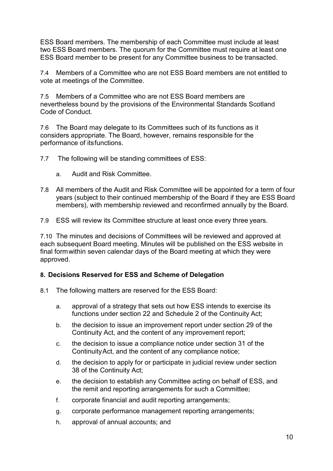ESS Board members. The membership of each Committee must include at least two ESS Board members. The quorum for the Committee must require at least one ESS Board member to be present for any Committee business to be transacted.

7.4 Members of a Committee who are not ESS Board members are not entitled to vote at meetings of the Committee.

7.5 Members of a Committee who are not ESS Board members are nevertheless bound by the provisions of the Environmental Standards Scotland Code of Conduct.

7.6 The Board may delegate to its Committees such of its functions as it considers appropriate. The Board, however, remains responsible for the performance of itsfunctions.

7.7 The following will be standing committees of ESS:

- a. Audit and Risk Committee.
- 7.8 All members of the Audit and Risk Committee will be appointed for a term of four years (subject to their continued membership of the Board if they are ESS Board members), with membership reviewed and reconfirmed annually by the Board.
- 7.9 ESS will review its Committee structure at least once every three years.

7.10 The minutes and decisions of Committees will be reviewed and approved at each subsequent Board meeting. Minutes will be published on the ESS website in final formwithin seven calendar days of the Board meeting at which they were approved.

#### <span id="page-10-0"></span>**8. Decisions Reserved for ESS and Scheme of Delegation**

- <span id="page-10-1"></span>8.1 The following matters are reserved for the ESS Board:
	- a. approval of a strategy that sets out how ESS intends to exercise its functions under section 22 and Schedule 2 of the Continuity Act;
	- b. the decision to issue an improvement report under section 29 of the Continuity Act, and the content of any improvement report;
	- c. the decision to issue a compliance notice under section 31 of the ContinuityAct, and the content of any compliance notice;
	- d. the decision to apply for or participate in judicial review under section 38 of the Continuity Act;
	- e. the decision to establish any Committee acting on behalf of ESS, and the remit and reporting arrangements for such a Committee;
	- f. corporate financial and audit reporting arrangements;
	- g. corporate performance management reporting arrangements;
	- h. approval of annual accounts; and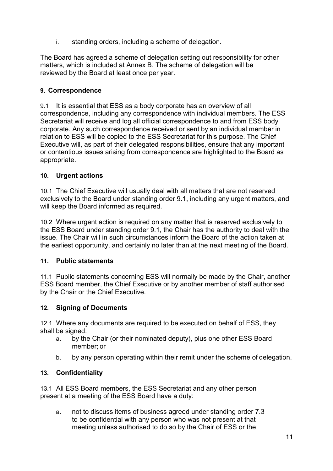i. standing orders, including a scheme of delegation.

The Board has agreed a scheme of delegation setting out responsibility for other matters, which is included at Annex B. The scheme of delegation will be reviewed by the Board at least once per year.

## <span id="page-11-0"></span>**9. Correspondence**

9.1 It is essential that ESS as a body corporate has an overview of all correspondence, including any correspondence with individual members. The ESS Secretariat will receive and log all official correspondence to and from ESS body corporate. Any such correspondence received or sent by an individual member in relation to ESS will be copied to the ESS Secretariat for this purpose. The Chief Executive will, as part of their delegated responsibilities, ensure that any important or contentious issues arising from correspondence are highlighted to the Board as appropriate.

## <span id="page-11-1"></span>**10. Urgent actions**

10.1 The Chief Executive will usually deal with all matters that are not reserved exclusively to the Board under standing order [9.1,](#page-10-1) including any urgent matters, and will keep the Board informed as required.

10.2 Where urgent action is required on any matter that is reserved exclusively to the ESS Board under standing order 9.1, the Chair has the authority to deal with the issue. The Chair will in such circumstances inform the Board of the action taken at the earliest opportunity, and certainly no later than at the next meeting of the Board.

## <span id="page-11-2"></span>**11. Public statements**

11.1 Public statements concerning ESS will normally be made by the Chair, another ESS Board member, the Chief Executive or by another member of staff authorised by the Chair or the Chief Executive.

## <span id="page-11-3"></span>**12. Signing of Documents**

12.1 Where any documents are required to be executed on behalf of ESS, they shall be signed:

- a. by the Chair (or their nominated deputy), plus one other ESS Board member; or
- b. by any person operating within their remit under the scheme of delegation.

## <span id="page-11-4"></span>**13. Confidentiality**

<span id="page-11-5"></span>13.1 All ESS Board members, the ESS Secretariat and any other person present at a meeting of the ESS Board have a duty:

a. not to discuss items of business agreed under standing order [7.3](#page-9-3)  to be confidential with any person who was not present at that meeting unless authorised to do so by the Chair of ESS or the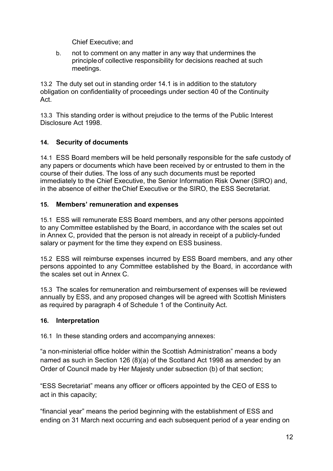Chief Executive; and

b. not to comment on any matter in any way that undermines the principleof collective responsibility for decisions reached at such meetings.

13.2 The duty set out in standing order [14.1 i](#page-11-5)s in addition to the statutory obligation on confidentiality of proceedings under section 40 of the Continuity Act.

13.3 This standing order is without prejudice to the terms of the Public Interest Disclosure Act 1998.

## <span id="page-12-0"></span>**14. Security of documents**

14.1 ESS Board members will be held personally responsible for the safe custody of any papers or documents which have been received by or entrusted to them in the course of their duties. The loss of any such documents must be reported immediately to the Chief Executive, the Senior Information Risk Owner (SIRO) and, in the absence of either theChief Executive or the SIRO, the ESS Secretariat.

## <span id="page-12-1"></span>**15. Members' remuneration and expenses**

15.1 ESS will remunerate ESS Board members, and any other persons appointed to any Committee established by the Board, in accordance with the scales set out in Annex C, provided that the person is not already in receipt of a publicly-funded salary or payment for the time they expend on ESS business.

15.2 ESS will reimburse expenses incurred by ESS Board members, and any other persons appointed to any Committee established by the Board, in accordance with the scales set out in Annex C.

15.3 The scales for remuneration and reimbursement of expenses will be reviewed annually by ESS, and any proposed changes will be agreed with Scottish Ministers as required by paragraph 4 of Schedule 1 of the Continuity Act.

## <span id="page-12-2"></span>**16. Interpretation**

16.1 In these standing orders and accompanying annexes:

"a non-ministerial office holder within the Scottish Administration" means a body named as such in Section 126 (8)(a) of the Scotland Act 1998 as amended by an Order of Council made by Her Majesty under subsection (b) of that section;

"ESS Secretariat" means any officer or officers appointed by the CEO of ESS to act in this capacity;

"financial year" means the period beginning with the establishment of ESS and ending on 31 March next occurring and each subsequent period of a year ending on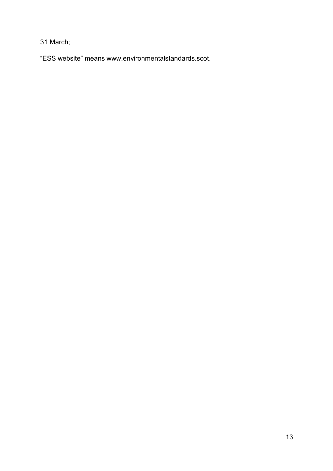31 March;

"ESS website" means [www.environmentalstandards.scot.](http://www.environmentalstandards.scot/)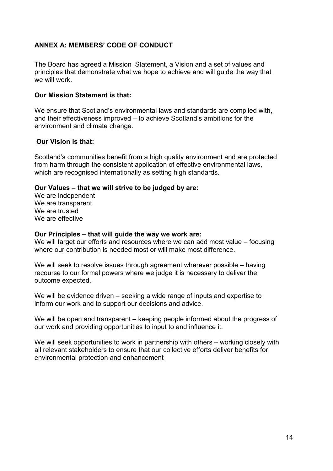## <span id="page-14-0"></span>**ANNEX A: MEMBERS' CODE OF CONDUCT**

The Board has agreed a Mission Statement, a Vision and a set of values and principles that demonstrate what we hope to achieve and will guide the way that we will work.

#### **Our Mission Statement is that:**

We ensure that Scotland's environmental laws and standards are complied with, and their effectiveness improved – to achieve Scotland's ambitions for the environment and climate change.

#### **Our Vision is that:**

Scotland's communities benefit from a high quality environment and are protected from harm through the consistent application of effective environmental laws, which are recognised internationally as setting high standards.

#### **Our Values – that we will strive to be judged by are:**

We are independent We are transparent We are trusted We are effective

#### **Our Principles – that will guide the way we work are:**

We will target our efforts and resources where we can add most value – focusing where our contribution is needed most or will make most difference.

We will seek to resolve issues through agreement wherever possible – having recourse to our formal powers where we judge it is necessary to deliver the outcome expected.

We will be evidence driven – seeking a wide range of inputs and expertise to inform our work and to support our decisions and advice.

We will be open and transparent – keeping people informed about the progress of our work and providing opportunities to input to and influence it.

We will seek opportunities to work in partnership with others – working closely with all relevant stakeholders to ensure that our collective efforts deliver benefits for environmental protection and enhancement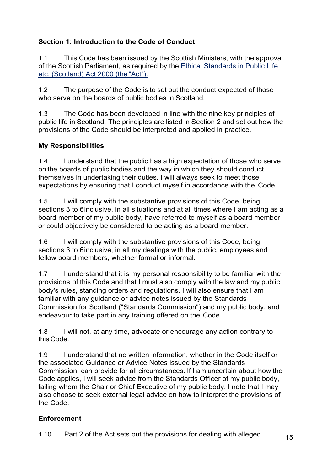# **Section 1: Introduction to the Code of Conduct**

1.1 This Code has been issued by the Scottish Ministers, with the approval of the Scottish Parliament, as required by the [Ethical Standards in Public Life](https://www.legislation.gov.uk/asp/2000/7/contents)  [etc. \(Scotland\) Act 2000 \(the](https://www.legislation.gov.uk/asp/2000/7/contents) "Act").

1.2 The purpose of the Code is to set out the conduct expected of those who serve on the boards of public bodies in Scotland.

1.3 The Code has been developed in line with the nine key principles of public life in Scotland. The principles are listed in Section 2 and set out how the provisions of the Code should be interpreted and applied in practice.

# **My Responsibilities**

1.4 I understand that the public has a high expectation of those who serve on the boards of public bodies and the way in which they should conduct themselves in undertaking their duties. I will always seek to meet those expectations by ensuring that I conduct myself in accordance with the Code.

1.5 I will comply with the substantive provisions of this Code, being sections 3 to 6 inclusive, in all situations and at all times where I am acting as a board member of my public body, have referred to myself as a board member or could objectively be considered to be acting as a board member.

1.6 I will comply with the substantive provisions of this Code, being sections 3 to 6inclusive, in all my dealings with the public, employees and fellow board members, whether formal or informal.

1.7 I understand that it is my personal responsibility to be familiar with the provisions of this Code and that I must also comply with the law and my public body's rules, standing orders and regulations. I will also ensure that I am familiar with any guidance or advice notes issued by the Standards Commission for Scotland ("Standards Commission") and my public body, and endeavour to take part in any training offered on the Code.

1.8 I will not, at any time, advocate or encourage any action contrary to this Code.

1.9 I understand that no written information, whether in the Code itself or the associated Guidance or Advice Notes issued by the Standards Commission, can provide for all circumstances. If I am uncertain about how the Code applies, I will seek advice from the Standards Officer of my public body, failing whom the Chair or Chief Executive of my public body. I note that I may also choose to seek external legal advice on how to interpret the provisions of the Code.

# **Enforcement**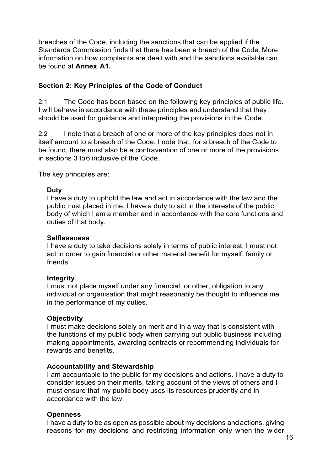breaches of the Code, including the sanctions that can be applied if the Standards Commission finds that there has been a breach of the Code. More information on how complaints are dealt with and the sanctions available can be found at **Annex A1.**

## **Section 2: Key Principles of the Code of Conduct**

2.1 The Code has been based on the following key principles of public life. I will behave in accordance with these principles and understand that they should be used for guidance and interpreting the provisions in the Code.

2.2 I note that a breach of one or more of the key principles does not in itself amount to a breach of the Code. I note that, for a breach of the Code to be found, there must also be a contravention of one or more of the provisions in sections 3 to6 inclusive of the Code.

The key principles are:

#### **Duty**

I have a duty to uphold the law and act in accordance with the law and the public trust placed in me. I have a duty to act in the interests of the public body of which I am a member and in accordance with the core functions and duties of that body.

#### **Selflessness**

I have a duty to take decisions solely in terms of public interest. I must not act in order to gain financial or other material benefit for myself, family or friends.

## **Integrity**

I must not place myself under any financial, or other, obligation to any individual or organisation that might reasonably be thought to influence me in the performance of my duties.

## **Objectivity**

I must make decisions solely on merit and in a way that is consistent with the functions of my public body when carrying out public business including making appointments, awarding contracts or recommending individuals for rewards and benefits.

## **Accountability and Stewardship**

I am accountable to the public for my decisions and actions. I have a duty to consider issues on their merits, taking account of the views of others and I must ensure that my public body uses its resources prudently and in accordance with the law.

#### **Openness**

I have a duty to be as open as possible about my decisions andactions, giving reasons for my decisions and restricting information only when the wider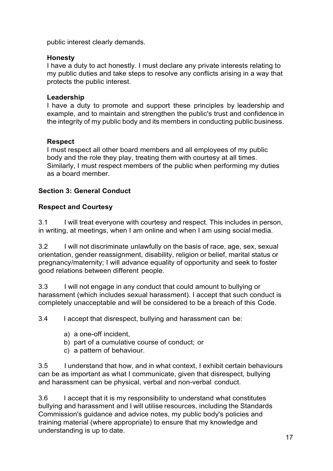public interest clearly demands.

## **Honesty**

I have a duty to act honestly. I must declare any private interests relating to my public duties and take steps to resolve any conflicts arising in a way that protects the public interest.

## **Leadership**

I have a duty to promote and support these principles by leadership and example, and to maintain and strengthen the public's trust and confidence in the integrity of my public body and its members in conducting public business.

## **Respect**

I must respect all other board members and all employees of my public body and the role they play, treating them with courtesy at all times. Similarly, I must respect members of the public when performing my duties as a board member.

## **Section 3: General Conduct**

## **Respect and Courtesy**

3.1 I will treat everyone with courtesy and respect. This includes in person, in writing, at meetings, when I am online and when I am using social media.

3.2 I will not discriminate unlawfully on the basis of race, age, sex, sexual orientation, gender reassignment, disability, religion or belief, marital status or pregnancy/maternity; I will advance equality of opportunity and seek to foster good relations between different people.

3.3 I will not engage in any conduct that could amount to bullying or harassment (which includes sexual harassment). I accept that such conduct is completely unacceptable and will be considered to be a breach of this Code.

3.4 I accept that disrespect, bullying and harassment can be:

- a) a one-off incident,
- b) part of a cumulative course of conduct; or
- c) a pattern of behaviour.

3.5 I understand that how, and in what context, I exhibit certain behaviours can be as important as what I communicate, given that disrespect, bullying and harassment can be physical, verbal and non-verbal conduct.

3.6 I accept that it is my responsibility to understand what constitutes bullying and harassment and I will utilise resources, including the Standards Commission's guidance and advice notes, my public body's policies and training material (where appropriate) to ensure that my knowledge and understanding is up to date.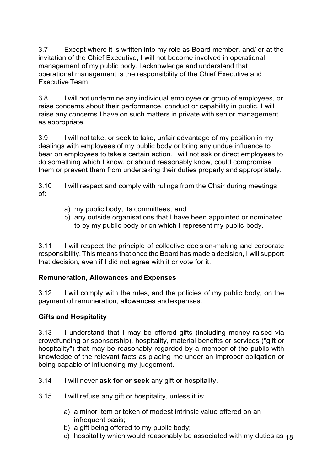3.7 Except where it is written into my role as Board member, and/ or at the invitation of the Chief Executive, I will not become involved in operational management of my public body. I acknowledge and understand that operational management is the responsibility of the Chief Executive and ExecutiveTeam.

3.8 I will not undermine any individual employee or group of employees, or raise concerns about their performance, conduct or capability in public. I will raise any concerns I have on such matters in private with senior management as appropriate.

3.9 I will not take, or seek to take, unfair advantage of my position in my dealings with employees of my public body or bring any undue influence to bear on employees to take a certain action. I will not ask or direct employees to do something which I know, or should reasonably know, could compromise them or prevent them from undertaking their duties properly and appropriately.

3.10 I will respect and comply with rulings from the Chair during meetings of:

- a) my public body, its committees; and
- b) any outside organisations that I have been appointed or nominated to by my public body or on which I represent my public body.

3.11 I will respect the principle of collective decision-making and corporate responsibility. This means that once the Board has made a decision, I will support that decision, even if I did not agree with it or vote for it.

## **Remuneration, Allowances andExpenses**

3.12 I will comply with the rules, and the policies of my public body, on the payment of remuneration, allowances and expenses.

## **Gifts and Hospitality**

3.13 I understand that I may be offered gifts (including money raised via crowdfunding or sponsorship), hospitality, material benefits or services ("gift or hospitality") that may be reasonably regarded by a member of the public with knowledge of the relevant facts as placing me under an improper obligation or being capable of influencing my judgement.

- 3.14 I will never **ask for or seek** any gift or hospitality.
- 3.15 I will refuse any gift or hospitality, unless it is:
	- a) a minor item or token of modest intrinsic value offered on an infrequent basis;
	- b) a gift being offered to my public body;
	- c)  $\,$  hospitality which would reasonably be associated with my duties as  $_{18}$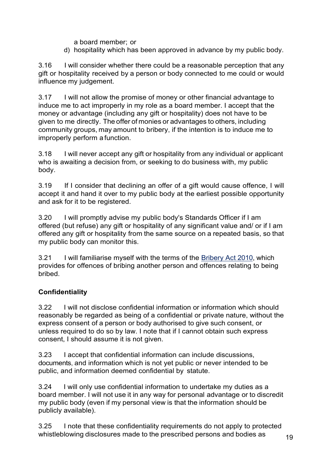a board member; or

d) hospitality which has been approved in advance by my public body.

3.16 I will consider whether there could be a reasonable perception that any gift or hospitality received by a person or body connected to me could or would influence my judgement.

3.17 I will not allow the promise of money or other financial advantage to induce me to act improperly in my role as a board member. I accept that the money or advantage (including any gift or hospitality) does not have to be given to me directly. The offer of monies or advantages to others, including community groups, may amount to bribery, if the intention is to induce me to improperly perform a function.

3.18 I will never accept any gift or hospitality from any individual or applicant who is awaiting a decision from, or seeking to do business with, my public body.

3.19 If I consider that declining an offer of a gift would cause offence, I will accept it and hand it over to my public body at the earliest possible opportunity and ask for it to be registered.

3.20 I will promptly advise my public body's Standards Officer if I am offered (but refuse) any gift or hospitality of any significant value and/ or if I am offered any gift or hospitality from the same source on a repeated basis, so that my public body can monitor this.

3.21 I will familiarise myself with the terms of the [Bribery Act 2010,](https://www.legislation.gov.uk/ukpga/2010/23/contents) which provides for offences of bribing another person and offences relating to being bribed.

## **Confidentiality**

3.22 I will not disclose confidential information or information which should reasonably be regarded as being of a confidential or private nature, without the express consent of a person or body authorised to give such consent, or unless required to do so by law. I note that if I cannot obtain such express consent, I should assume it is not given.

3.23 I accept that confidential information can include discussions, documents, and information which is not yet public or never intended to be public, and information deemed confidential by statute.

3.24 I will only use confidential information to undertake my duties as a board member. I will not use it in any way for personal advantage or to discredit my public body (even if my personal view is that the information should be publicly available).

3.25 I note that these confidentiality requirements do not apply to protected whistleblowing disclosures made to the prescribed persons and bodies as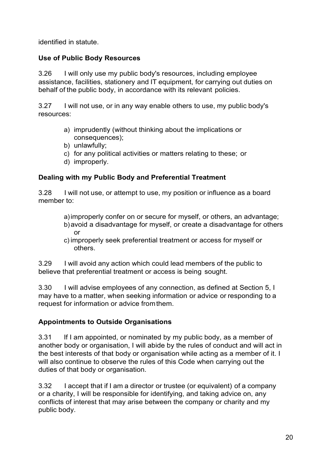identified in statute.

## **Use of Public Body Resources**

3.26 I will only use my public body's resources, including employee assistance, facilities, stationery and IT equipment, for carrying out duties on behalf of the public body, in accordance with its relevant policies.

3.27 I will not use, or in any way enable others to use, my public body's resources:

- a) imprudently (without thinking about the implications or consequences);
- b) unlawfully;
- c) for any political activities or matters relating to these; or
- d) improperly.

## **Dealing with my Public Body and Preferential Treatment**

3.28 I will not use, or attempt to use, my position or influence as a board member to:

- a)improperly confer on or secure for myself, or others, an advantage; b)avoid a disadvantage for myself, or create a disadvantage for others or
- c) improperly seek preferential treatment or access for myself or others.

3.29 I will avoid any action which could lead members of the public to believe that preferential treatment or access is being sought.

3.30 I will advise employees of any connection, as defined at Section 5, I may have to a matter, when seeking information or advice or responding to a request for information or advice fromthem.

## **Appointments to Outside Organisations**

3.31 If I am appointed, or nominated by my public body, as a member of another body or organisation, I will abide by the rules of conduct and will act in the best interests of that body or organisation while acting as a member of it. I will also continue to observe the rules of this Code when carrying out the duties of that body or organisation.

3.32 I accept that if I am a director or trustee (or equivalent) of a company or a charity, I will be responsible for identifying, and taking advice on, any conflicts of interest that may arise between the company or charity and my public body.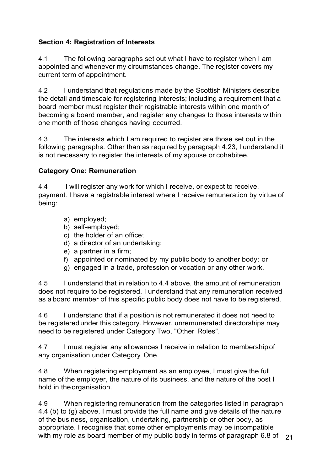## **Section 4: Registration of Interests**

4.1 The following paragraphs set out what I have to register when I am appointed and whenever my circumstances change. The register covers my current term of appointment.

4.2 I understand that regulations made by the Scottish Ministers describe the detail and timescale for registering interests; including a requirement that a board member must register their registrable interests within one month of becoming a board member, and register any changes to those interests within one month of those changes having occurred.

4.3 The interests which I am required to register are those set out in the following paragraphs. Other than as required by paragraph 4.23, I understand it is not necessary to register the interests of my spouse or cohabitee.

# **Category One: Remuneration**

4.4 I will register any work for which I receive, or expect to receive, payment. I have a registrable interest where I receive remuneration by virtue of being:

- a) employed;
- b) self-employed;
- c) the holder of an office;
- d) a director of an undertaking;
- e) a partner in a firm;
- f) appointed or nominated by my public body to another body; or
- g) engaged in a trade, profession or vocation or any other work.

4.5 I understand that in relation to 4.4 above, the amount of remuneration does not require to be registered. I understand that any remuneration received as a board member of this specific public body does not have to be registered.

4.6 I understand that if a position is not remunerated it does not need to be registeredunder this category. However, unremunerated directorships may need to be registered under Category Two, "Other Roles".

4.7 I must register any allowances I receive in relation to membershipof any organisation under Category One.

4.8 When registering employment as an employee, I must give the full name of the employer, the nature of its business, and the nature of the post I hold in theorganisation.

with my role as board member of my public body in terms of paragraph 6.8 of  $\,$   $_{21}$ 4.9 When registering remuneration from the categories listed in paragraph 4.4 (b) to (g) above, I must provide the full name and give details of the nature of the business, organisation, undertaking, partnership or other body, as appropriate. I recognise that some other employments may be incompatible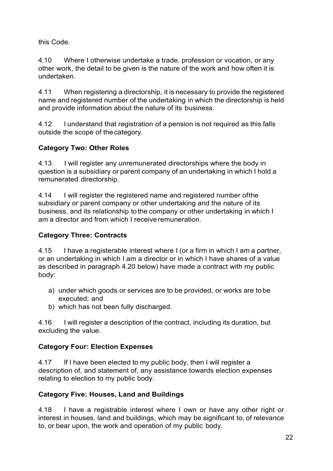this Code.

4.10 Where I otherwise undertake a trade, profession or vocation, or any other work, the detail to be given is the nature of the work and how often it is undertaken.

4.11 When registering a directorship, it is necessary to provide the registered name and registered number of the undertaking in which the directorship is held and provide information about the nature of its business.

4.12 I understand that registration of a pension is not required as this falls outside the scope of the category.

# **Category Two: Other Roles**

4.13 I will register any unremunerated directorships where the body in question is a subsidiary or parent company of an undertaking in which I hold a remunerated directorship.

4.14 I will register the registered name and registered number ofthe subsidiary or parent company or other undertaking and the nature of its business, and its relationship tothe company or other undertaking in which I am a director and from which I receive remuneration.

# **Category Three: Contracts**

4.15 I have a registerable interest where I (or a firm in which I am a partner, or an undertaking in which I am a director or in which I have shares of a value as described in paragraph 4.20 below) have made a contract with my public body:

- a) under which goods or services are to be provided, or works are to be executed; and
- b) which has not been fully discharged.

4.16 I will register a description of the contract, including its duration, but excluding the value.

# **Category Four: Election Expenses**

4.17 If I have been elected to my public body, then I will register a description of, and statement of, any assistance towards election expenses relating to election to my public body.

# **Category Five: Houses, Land and Buildings**

4.18 I have a registrable interest where I own or have any other right or interest in houses, land and buildings, which may be significant to, of relevance to, or bear upon, the work and operation of my public body.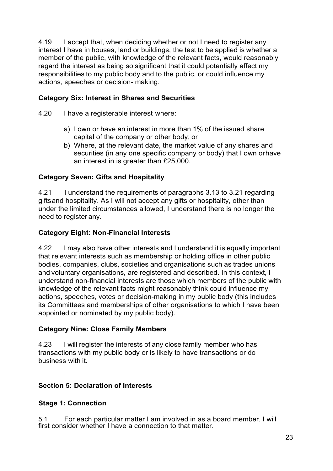4.19 I accept that, when deciding whether or not I need to register any interest I have in houses, land or buildings, the test to be applied is whether a member of the public, with knowledge of the relevant facts, would reasonably regard the interest as being so significant that it could potentially affect my responsibilities to my public body and to the public, or could influence my actions, speeches or decision- making.

## **Category Six: Interest in Shares and Securities**

- 4.20 I have a registerable interest where:
	- a) I own or have an interest in more than 1% of the issued share capital of the company or other body; or
	- b) Where, at the relevant date, the market value of any shares and securities (in any one specific company or body) that I own orhave an interest in is greater than £25,000.

## **Category Seven: Gifts and Hospitality**

4.21 I understand the requirements of paragraphs 3.13 to 3.21 regarding giftsand hospitality. As I will not accept any gifts or hospitality, other than under the limited circumstances allowed, I understand there is no longer the need to register any.

## **Category Eight: Non-Financial Interests**

4.22 I may also have other interests and I understand it is equally important that relevant interests such as membership or holding office in other public bodies, companies, clubs, societies and organisations such as trades unions and voluntary organisations, are registered and described. In this context, I understand non-financial interests are those which members of the public with knowledge of the relevant facts might reasonably think could influence my actions, speeches, votes or decision-making in my public body (this includes its Committees and memberships of other organisations to which I have been appointed or nominated by my public body).

## **Category Nine: Close Family Members**

4.23 I will register the interests of any close family member who has transactions with my public body or is likely to have transactions or do business with it

## **Section 5: Declaration of Interests**

## **Stage 1: Connection**

5.1 For each particular matter I am involved in as a board member, I will first consider whether I have a connection to that matter.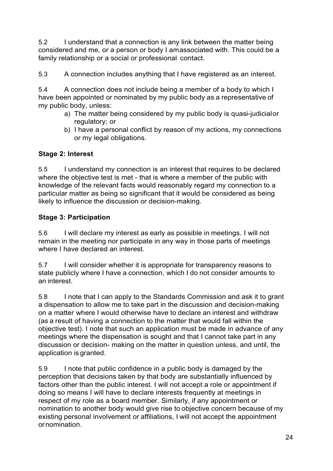5.2 I understand that a connection is any link between the matter being considered and me, or a person or body I amassociated with. This could be a family relationship or a social or professional contact.

5.3 A connection includes anything that I have registered as an interest.

5.4 A connection does not include being a member of a body to which I have been appointed or nominated by my public body as a representative of my public body, unless:

- a) The matter being considered by my public body is quasi-judicialor regulatory; or
- b) I have a personal conflict by reason of my actions, my connections or my legal obligations.

# **Stage 2: Interest**

5.5 I understand my connection is an interest that requires to be declared where the objective test is met - that is where a member of the public with knowledge of the relevant facts would reasonably regard my connection to a particular matter as being so significant that it would be considered as being likely to influence the discussion or decision-making.

# **Stage 3: Participation**

5.6 I will declare my interest as early as possible in meetings. I will not remain in the meeting nor participate in any way in those parts of meetings where I have declared an interest.

5.7 I will consider whether it is appropriate for transparency reasons to state publicly where I have a connection, which I do not consider amounts to an interest.

5.8 I note that I can apply to the Standards Commission and ask it to grant a dispensation to allow me to take part in the discussion and decision-making on a matter where I would otherwise have to declare an interest and withdraw (as a result of having a connection to the matter that would fall within the objective test). I note that such an application must be made in advance of any meetings where the dispensation is sought and that I cannot take part in any discussion or decision- making on the matter in question unless, and until, the application is granted.

5.9 I note that public confidence in a public body is damaged by the perception that decisions taken by that body are substantially influenced by factors other than the public interest. I will not accept a role or appointment if doing so means I will have to declare interests frequently at meetings in respect of my role as a board member. Similarly, if any appointment or nomination to another body would give rise to objective concern because of my existing personal involvement or affiliations, I will not accept the appointment ornomination.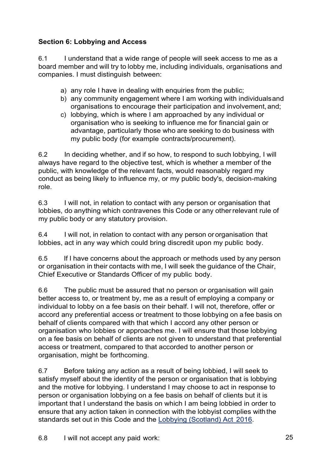# **Section 6: Lobbying and Access**

6.1 I understand that a wide range of people will seek access to me as a board member and will try to lobby me, including individuals, organisations and companies. I must distinguish between:

- a) any role I have in dealing with enquiries from the public;
- b) any community engagement where I am working with individualsand organisations to encourage their participation and involvement,and;
- c) lobbying, which is where I am approached by any individual or organisation who is seeking to influence me for financial gain or advantage, particularly those who are seeking to do business with my public body (for example contracts/procurement).

6.2 In deciding whether, and if so how, to respond to such lobbying, I will always have regard to the objective test, which is whether a member of the public, with knowledge of the relevant facts, would reasonably regard my conduct as being likely to influence my, or my public body's, decision-making role.

6.3 I will not, in relation to contact with any person or organisation that lobbies, do anything which contravenes this Code or any otherrelevant rule of my public body or any statutory provision.

6.4 I will not, in relation to contact with any person or organisation that lobbies, act in any way which could bring discredit upon my public body.

6.5 If I have concerns about the approach or methods used by any person or organisation in their contacts with me, I will seek the guidance of the Chair, Chief Executive or Standards Officer of my public body.

6.6 The public must be assured that no person or organisation will gain better access to, or treatment by, me as a result of employing a company or individual to lobby on a fee basis on their behalf. I will not, therefore, offer or accord any preferential access or treatment to those lobbying on a fee basis on behalf of clients compared with that which I accord any other person or organisation who lobbies or approaches me. I will ensure that those lobbying on a fee basis on behalf of clients are not given to understand that preferential access or treatment, compared to that accorded to another person or organisation, might be forthcoming.

6.7 Before taking any action as a result of being lobbied, I will seek to satisfy myself about the identity of the person or organisation that is lobbying and the motive for lobbying. I understand I may choose to act in response to person or organisation lobbying on a fee basis on behalf of clients but it is important that I understand the basis on which I am being lobbied in order to ensure that any action taken in connection with the lobbyist complies withthe standards set out in this Code and the [Lobbying \(Scotland\) Act](https://www.legislation.gov.uk/asp/2016/16/contents) 2016.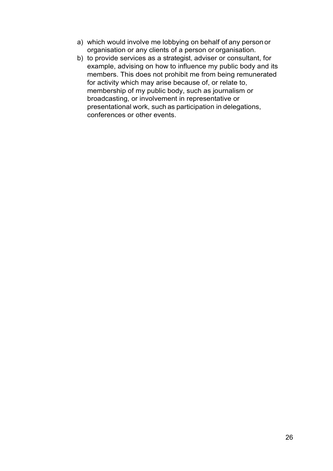- a) which would involve me lobbying on behalf of any person or organisation or any clients of a person or organisation.
- b) to provide services as a strategist, adviser or consultant, for example, advising on how to influence my public body and its members. This does not prohibit me from being remunerated for activity which may arise because of, or relate to, membership of my public body, such as journalism or broadcasting, or involvement in representative or presentational work, such as participation in delegations, conferences or other events.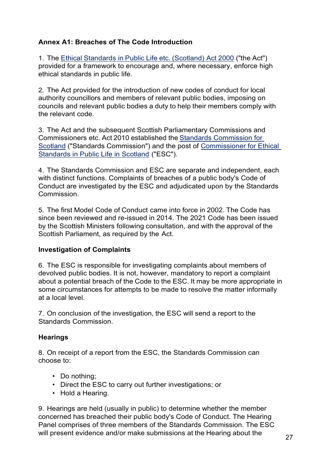## **Annex A1: Breaches of The Code Introduction**

1. The Ethical [Standards](http://www.legislation.gov.uk/asp/2000/7/contents) in Public Life etc. (Scotland) Act 2000 ("the Act") provided for a framework to encourage and, where necessary, enforce high ethical standards in public life.

2. The Act provided for the introduction of new codes of conduct for local authority councillors and members of relevant public bodies, imposing on councils and relevant public bodies a duty to help their members comply with the relevant code.

3. The Act and the subsequent Scottish Parliamentary Commissions and Commissioners etc. Act 2010 established the Standards [Commission](https://www.standardscommissionscotland.org.uk/) for [Scotland](https://www.standardscommissionscotland.org.uk/) ("Standards Commission") and the post of [Commissioner for Ethical](https://www.ethicalstandards.org.uk/)  [Standards in Public Life in Scotland](https://www.ethicalstandards.org.uk/) ("ESC").

4. The Standards Commission and ESC are separate and independent, each with distinct functions. Complaints of breaches of a public body's Code of Conduct are investigated by the ESC and adjudicated upon by the Standards **Commission** 

5. The first Model Code of Conduct came into force in 2002. The Code has since been reviewed and re-issued in 2014. The 2021 Code has been issued by the Scottish Ministers following consultation, and with the approval of the Scottish Parliament, as required by the Act.

#### **Investigation of Complaints**

6. The ESC is responsible for investigating complaints about members of devolved public bodies. It is not, however, mandatory to report a complaint about a potential breach of the Code to the ESC. It may be more appropriate in some circumstances for attempts to be made to resolve the matter informally at a local level.

7. On conclusion of the investigation, the ESC will send a report to the Standards Commission.

## **Hearings**

8. On receipt of a report from the ESC, the Standards Commission can choose to:

- Do nothing;
- Direct the ESC to carry out further investigations; or
- Hold a Hearing.

9. Hearings are held (usually in public) to determine whether the member concerned has breached their public body's Code of Conduct. The Hearing Panel comprises of three members of the Standards Commission. The ESC will present evidence and/or make submissions at the Hearing about the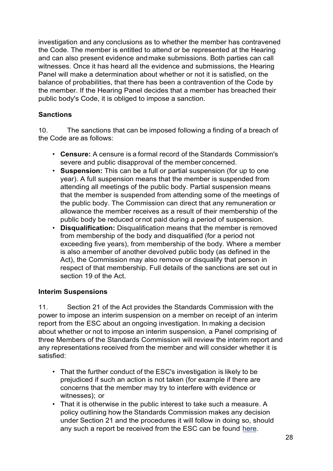investigation and any conclusions as to whether the member has contravened the Code. The member is entitled to attend or be represented at the Hearing and can also present evidence andmake submissions. Both parties can call witnesses. Once it has heard all the evidence and submissions, the Hearing Panel will make a determination about whether or not it is satisfied, on the balance of probabilities, that there has been a contravention of the Code by the member. If the Hearing Panel decides that a member has breached their public body's Code, it is obliged to impose a sanction.

## **Sanctions**

10. The sanctions that can be imposed following a finding of a breach of the Code are as follows:

- **Censure:** A censure is a formal record of the Standards Commission's severe and public disapproval of the member concerned.
- **Suspension:** This can be a full or partial suspension (for up to one year). A full suspension means that the member is suspended from attending all meetings of the public body. Partial suspension means that the member is suspended from attending some of the meetings of the public body. The Commission can direct that any remuneration or allowance the member receives as a result of their membership of the public body be reduced ornot paid during a period of suspension.
- **Disqualification:** Disqualification means that the member is removed from membership of the body and disqualified (for a period not exceeding five years), from membership of the body. Where a member is also amember of another devolved public body (as defined in the Act), the Commission may also remove or disqualify that person in respect of that membership. Full details of the sanctions are set out in section 19 of the Act.

## **Interim Suspensions**

11. Section 21 of the Act provides the Standards Commission with the power to impose an interim suspension on a member on receipt of an interim report from the ESC about an ongoing investigation. In making a decision about whether or not to impose an interim suspension, a Panel comprising of three Members of the Standards Commission will review the interim report and any representations received from the member and will consider whether it is satisfied:

- That the further conduct of the ESC's investigation is likely to be prejudiced if such an action is not taken (for example if there are concerns that the member may try to interfere with evidence or witnesses); or
- That it is otherwise in the public interest to take such a measure. A policy outlining how the Standards Commission makes any decision under Section 21 and the procedures it will follow in doing so, should any such a report be received from the ESC can be found [here.](https://www.standardscommissionscotland.org.uk/cases)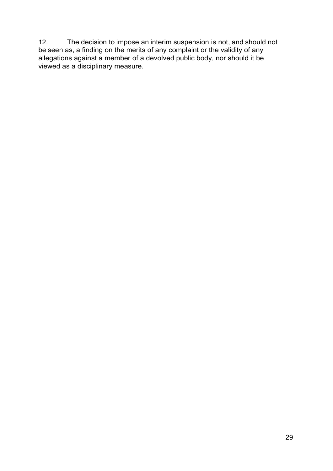12. The decision to impose an interim suspension is not, and should not be seen as, a finding on the merits of any complaint or the validity of any allegations against a member of a devolved public body, nor should it be viewed as a disciplinary measure.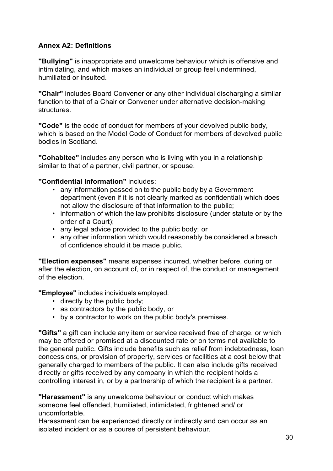## **Annex A2: Definitions**

**"Bullying"** is inappropriate and unwelcome behaviour which is offensive and intimidating, and which makes an individual or group feel undermined, humiliated or insulted.

**"Chair"** includes Board Convener or any other individual discharging a similar function to that of a Chair or Convener under alternative decision-making **structures** 

**"Code"** is the code of conduct for members of your devolved public body, which is based on the Model Code of Conduct for members of devolved public bodies in Scotland.

**"Cohabitee"** includes any person who is living with you in a relationship similar to that of a partner, civil partner, or spouse.

## **"Confidential Information"** includes:

- any information passed on to the public body by a Government department (even if it is not clearly marked as confidential) which does not allow the disclosure of that information to the public;
- information of which the law prohibits disclosure (under statute or by the order of a Court);
- any legal advice provided to the public body; or
- any other information which would reasonably be considered a breach of confidence should it be made public.

**"Election expenses"** means expenses incurred, whether before, during or after the election, on account of, or in respect of, the conduct or management of the election.

**"Employee"** includes individuals employed:

- directly by the public body;
- as contractors by the public body, or
- by a contractor to work on the public body's premises.

**"Gifts"** a gift can include any item or service received free of charge, or which may be offered or promised at a discounted rate or on terms not available to the general public. Gifts include benefits such as relief from indebtedness, loan concessions, or provision of property, services or facilities at a cost below that generally charged to members of the public. It can also include gifts received directly or gifts received by any company in which the recipient holds a controlling interest in, or by a partnership of which the recipient is a partner.

**"Harassment"** is any unwelcome behaviour or conduct which makes someone feel offended, humiliated, intimidated, frightened and/ or uncomfortable.

Harassment can be experienced directly or indirectly and can occur as an isolated incident or as a course of persistent behaviour.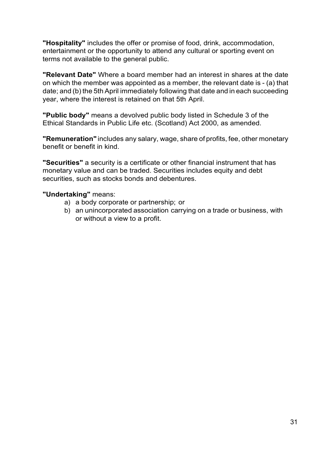**"Hospitality"** includes the offer or promise of food, drink, accommodation, entertainment or the opportunity to attend any cultural or sporting event on terms not available to the general public.

**"Relevant Date"** Where a board member had an interest in shares at the date on which the member was appointed as a member, the relevant date is - (a) that date; and (b) the 5th April immediately following that date and in each succeeding year, where the interest is retained on that 5th April.

**"Public body"** means a devolved public body listed in Schedule 3 of the Ethical Standards in Public Life etc. (Scotland) Act 2000, as amended.

**"Remuneration"** includes any salary, wage, share of profits, fee, other monetary benefit or benefit in kind.

**"Securities"** a security is a certificate or other financial instrument that has monetary value and can be traded. Securities includes equity and debt securities, such as stocks bonds and debentures.

#### **"Undertaking"** means:

- a) a body corporate or partnership; or
- b) an unincorporated association carrying on a trade or business, with or without a view to a profit.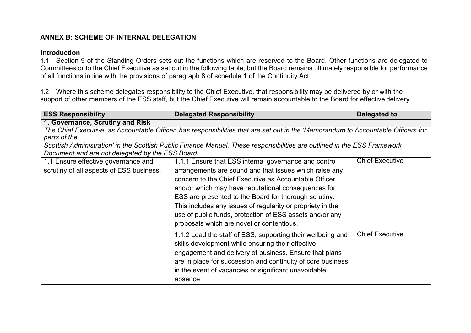#### **ANNEX B: SCHEME OF INTERNAL DELEGATION**

#### **Introduction**

1.1 Section 9 of the Standing Orders sets out the functions which are reserved to the Board. Other functions are delegated to Committees or to the Chief Executive as set out in the following table, but the Board remains ultimately responsible for performance of all functions in line with the provisions of paragraph 8 of schedule 1 of the Continuity Act.

1.2 Where this scheme delegates responsibility to the Chief Executive, that responsibility may be delivered by or with the support of other members of the ESS staff, but the Chief Executive will remain accountable to the Board for effective delivery.

<span id="page-32-0"></span>

| <b>ESS Responsibility</b>                                   | <b>Delegated Responsibility</b><br>Delegated to                                                                                   |                        |  |  |
|-------------------------------------------------------------|-----------------------------------------------------------------------------------------------------------------------------------|------------------------|--|--|
| 1. Governance, Scrutiny and Risk                            |                                                                                                                                   |                        |  |  |
|                                                             | The Chief Executive, as Accountable Officer, has responsibilities that are set out in the 'Memorandum to Accountable Officers for |                        |  |  |
| parts of the                                                |                                                                                                                                   |                        |  |  |
|                                                             | Scottish Administration' in the Scottish Public Finance Manual. These responsibilities are outlined in the ESS Framework          |                        |  |  |
| Document and are not delegated by the ESS Board.            |                                                                                                                                   |                        |  |  |
| 1.1 Ensure effective governance and                         | 1.1.1 Ensure that ESS internal governance and control                                                                             | <b>Chief Executive</b> |  |  |
| scrutiny of all aspects of ESS business.                    | arrangements are sound and that issues which raise any                                                                            |                        |  |  |
|                                                             | concern to the Chief Executive as Accountable Officer                                                                             |                        |  |  |
| and/or which may have reputational consequences for         |                                                                                                                                   |                        |  |  |
| ESS are presented to the Board for thorough scrutiny.       |                                                                                                                                   |                        |  |  |
| This includes any issues of regularity or propriety in the  |                                                                                                                                   |                        |  |  |
| use of public funds, protection of ESS assets and/or any    |                                                                                                                                   |                        |  |  |
|                                                             | proposals which are novel or contentious.                                                                                         |                        |  |  |
|                                                             |                                                                                                                                   |                        |  |  |
|                                                             | 1.1.2 Lead the staff of ESS, supporting their wellbeing and                                                                       | <b>Chief Executive</b> |  |  |
| skills development while ensuring their effective           |                                                                                                                                   |                        |  |  |
| engagement and delivery of business. Ensure that plans      |                                                                                                                                   |                        |  |  |
| are in place for succession and continuity of core business |                                                                                                                                   |                        |  |  |
| in the event of vacancies or significant unavoidable        |                                                                                                                                   |                        |  |  |
|                                                             | absence.                                                                                                                          |                        |  |  |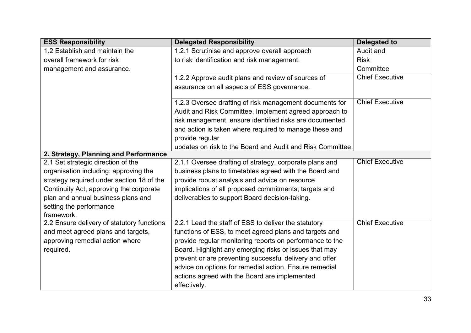| <b>ESS Responsibility</b>                  | <b>Delegated Responsibility</b>                            | <b>Delegated to</b>    |
|--------------------------------------------|------------------------------------------------------------|------------------------|
| 1.2 Establish and maintain the             | 1.2.1 Scrutinise and approve overall approach              | Audit and              |
| overall framework for risk                 | to risk identification and risk management.                | <b>Risk</b>            |
| management and assurance.                  |                                                            | Committee              |
|                                            | 1.2.2 Approve audit plans and review of sources of         | <b>Chief Executive</b> |
|                                            | assurance on all aspects of ESS governance.                |                        |
|                                            |                                                            |                        |
|                                            | 1.2.3 Oversee drafting of risk management documents for    | <b>Chief Executive</b> |
|                                            | Audit and Risk Committee. Implement agreed approach to     |                        |
|                                            | risk management, ensure identified risks are documented    |                        |
|                                            | and action is taken where required to manage these and     |                        |
|                                            | provide regular                                            |                        |
|                                            | updates on risk to the Board and Audit and Risk Committee. |                        |
| 2. Strategy, Planning and Performance      |                                                            |                        |
| 2.1 Set strategic direction of the         | 2.1.1 Oversee drafting of strategy, corporate plans and    | <b>Chief Executive</b> |
| organisation including: approving the      | business plans to timetables agreed with the Board and     |                        |
| strategy required under section 18 of the  | provide robust analysis and advice on resource             |                        |
| Continuity Act, approving the corporate    | implications of all proposed commitments, targets and      |                        |
| plan and annual business plans and         | deliverables to support Board decision-taking.             |                        |
| setting the performance                    |                                                            |                        |
| framework.                                 |                                                            |                        |
| 2.2 Ensure delivery of statutory functions | 2.2.1 Lead the staff of ESS to deliver the statutory       | <b>Chief Executive</b> |
| and meet agreed plans and targets,         | functions of ESS, to meet agreed plans and targets and     |                        |
| approving remedial action where            | provide regular monitoring reports on performance to the   |                        |
| required.                                  | Board. Highlight any emerging risks or issues that may     |                        |
|                                            | prevent or are preventing successful delivery and offer    |                        |
|                                            | advice on options for remedial action. Ensure remedial     |                        |
|                                            | actions agreed with the Board are implemented              |                        |
|                                            | effectively.                                               |                        |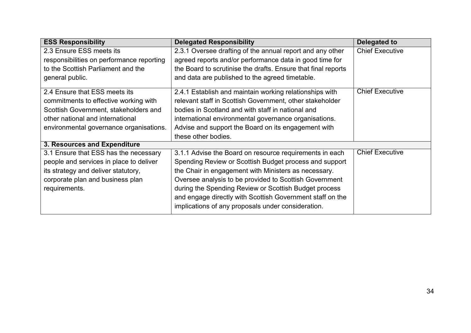| <b>ESS Responsibility</b>                                                                                                                                                                      | <b>Delegated Responsibility</b>                                                                                                                                                                                                                                                                                                                                                                                 | <b>Delegated to</b>    |
|------------------------------------------------------------------------------------------------------------------------------------------------------------------------------------------------|-----------------------------------------------------------------------------------------------------------------------------------------------------------------------------------------------------------------------------------------------------------------------------------------------------------------------------------------------------------------------------------------------------------------|------------------------|
| 2.3 Ensure ESS meets its<br>responsibilities on performance reporting<br>to the Scottish Parliament and the<br>general public.                                                                 | 2.3.1 Oversee drafting of the annual report and any other<br>agreed reports and/or performance data in good time for<br>the Board to scrutinise the drafts. Ensure that final reports<br>and data are published to the agreed timetable.                                                                                                                                                                        | <b>Chief Executive</b> |
| 2.4 Ensure that ESS meets its<br>commitments to effective working with<br>Scottish Government, stakeholders and<br>other national and international<br>environmental governance organisations. | 2.4.1 Establish and maintain working relationships with<br>relevant staff in Scottish Government, other stakeholder<br>bodies in Scotland and with staff in national and<br>international environmental governance organisations.<br>Advise and support the Board on its engagement with<br>these other bodies.                                                                                                 | <b>Chief Executive</b> |
| 3. Resources and Expenditure                                                                                                                                                                   |                                                                                                                                                                                                                                                                                                                                                                                                                 |                        |
| 3.1 Ensure that ESS has the necessary<br>people and services in place to deliver<br>its strategy and deliver statutory,<br>corporate plan and business plan<br>requirements.                   | 3.1.1 Advise the Board on resource requirements in each<br>Spending Review or Scottish Budget process and support<br>the Chair in engagement with Ministers as necessary.<br>Oversee analysis to be provided to Scottish Government<br>during the Spending Review or Scottish Budget process<br>and engage directly with Scottish Government staff on the<br>implications of any proposals under consideration. | <b>Chief Executive</b> |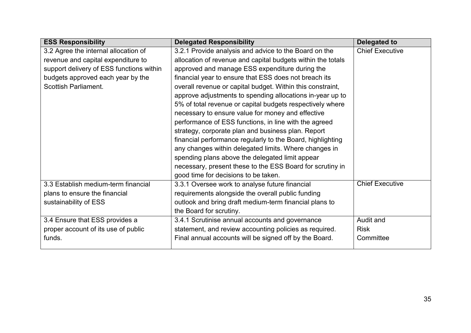| <b>ESS Responsibility</b>                | <b>Delegated Responsibility</b>                             | Delegated to           |
|------------------------------------------|-------------------------------------------------------------|------------------------|
| 3.2 Agree the internal allocation of     | 3.2.1 Provide analysis and advice to the Board on the       | <b>Chief Executive</b> |
| revenue and capital expenditure to       | allocation of revenue and capital budgets within the totals |                        |
| support delivery of ESS functions within | approved and manage ESS expenditure during the              |                        |
| budgets approved each year by the        | financial year to ensure that ESS does not breach its       |                        |
| <b>Scottish Parliament.</b>              | overall revenue or capital budget. Within this constraint,  |                        |
|                                          | approve adjustments to spending allocations in-year up to   |                        |
|                                          | 5% of total revenue or capital budgets respectively where   |                        |
|                                          | necessary to ensure value for money and effective           |                        |
|                                          | performance of ESS functions, in line with the agreed       |                        |
|                                          | strategy, corporate plan and business plan. Report          |                        |
|                                          | financial performance regularly to the Board, highlighting  |                        |
|                                          | any changes within delegated limits. Where changes in       |                        |
|                                          | spending plans above the delegated limit appear             |                        |
|                                          | necessary, present these to the ESS Board for scrutiny in   |                        |
|                                          | good time for decisions to be taken.                        |                        |
| 3.3 Establish medium-term financial      | 3.3.1 Oversee work to analyse future financial              | <b>Chief Executive</b> |
| plans to ensure the financial            | requirements alongside the overall public funding           |                        |
| sustainability of ESS                    | outlook and bring draft medium-term financial plans to      |                        |
|                                          | the Board for scrutiny.                                     |                        |
| 3.4 Ensure that ESS provides a           | 3.4.1 Scrutinise annual accounts and governance             | Audit and              |
| proper account of its use of public      | statement, and review accounting policies as required.      | <b>Risk</b>            |
| funds.                                   | Final annual accounts will be signed off by the Board.      | Committee              |
|                                          |                                                             |                        |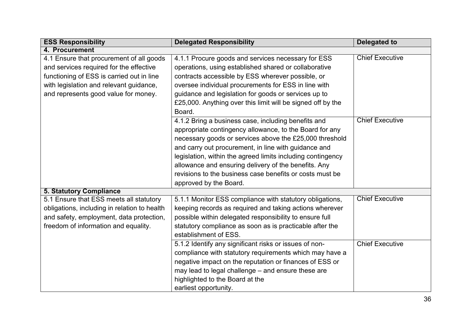| <b>ESS Responsibility</b>                    | <b>Delegated Responsibility</b>                             | Delegated to           |
|----------------------------------------------|-------------------------------------------------------------|------------------------|
| 4. Procurement                               |                                                             |                        |
| 4.1 Ensure that procurement of all goods     | 4.1.1 Procure goods and services necessary for ESS          | <b>Chief Executive</b> |
| and services required for the effective      | operations, using established shared or collaborative       |                        |
| functioning of ESS is carried out in line    | contracts accessible by ESS wherever possible, or           |                        |
| with legislation and relevant guidance,      | oversee individual procurements for ESS in line with        |                        |
| and represents good value for money.         | guidance and legislation for goods or services up to        |                        |
|                                              | £25,000. Anything over this limit will be signed off by the |                        |
|                                              | Board.                                                      |                        |
|                                              | 4.1.2 Bring a business case, including benefits and         | <b>Chief Executive</b> |
|                                              | appropriate contingency allowance, to the Board for any     |                        |
|                                              | necessary goods or services above the £25,000 threshold     |                        |
|                                              | and carry out procurement, in line with guidance and        |                        |
|                                              | legislation, within the agreed limits including contingency |                        |
|                                              | allowance and ensuring delivery of the benefits. Any        |                        |
|                                              | revisions to the business case benefits or costs must be    |                        |
|                                              | approved by the Board.                                      |                        |
| <b>5. Statutory Compliance</b>               |                                                             |                        |
| 5.1 Ensure that ESS meets all statutory      | 5.1.1 Monitor ESS compliance with statutory obligations,    | <b>Chief Executive</b> |
| obligations, including in relation to health | keeping records as required and taking actions wherever     |                        |
| and safety, employment, data protection,     | possible within delegated responsibility to ensure full     |                        |
| freedom of information and equality.         | statutory compliance as soon as is practicable after the    |                        |
|                                              | establishment of ESS.                                       |                        |
|                                              | 5.1.2 Identify any significant risks or issues of non-      | <b>Chief Executive</b> |
|                                              | compliance with statutory requirements which may have a     |                        |
|                                              | negative impact on the reputation or finances of ESS or     |                        |
|                                              | may lead to legal challenge - and ensure these are          |                        |
|                                              | highlighted to the Board at the                             |                        |
|                                              | earliest opportunity.                                       |                        |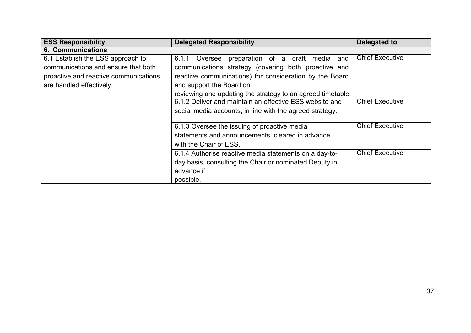| <b>ESS Responsibility</b>             | <b>Delegated Responsibility</b>                             | Delegated to           |
|---------------------------------------|-------------------------------------------------------------|------------------------|
| <b>6. Communications</b>              |                                                             |                        |
| 6.1 Establish the ESS approach to     | preparation of a draft media<br>6.1.1<br>Oversee<br>and     | <b>Chief Executive</b> |
| communications and ensure that both   | communications strategy (covering both proactive and        |                        |
| proactive and reactive communications | reactive communications) for consideration by the Board     |                        |
| are handled effectively.              | and support the Board on                                    |                        |
|                                       | reviewing and updating the strategy to an agreed timetable. |                        |
|                                       | 6.1.2 Deliver and maintain an effective ESS website and     | <b>Chief Executive</b> |
|                                       | social media accounts, in line with the agreed strategy.    |                        |
|                                       |                                                             |                        |
|                                       | 6.1.3 Oversee the issuing of proactive media                | <b>Chief Executive</b> |
|                                       | statements and announcements, cleared in advance            |                        |
|                                       | with the Chair of ESS.                                      |                        |
|                                       | 6.1.4 Authorise reactive media statements on a day-to-      | <b>Chief Executive</b> |
|                                       | day basis, consulting the Chair or nominated Deputy in      |                        |
|                                       | advance if                                                  |                        |
|                                       | possible.                                                   |                        |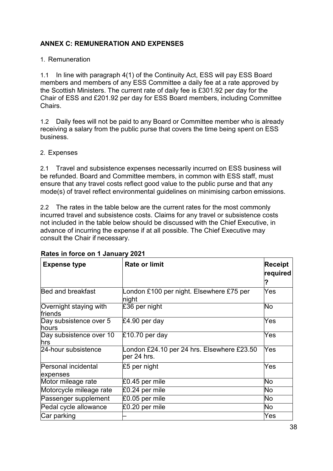## <span id="page-38-0"></span>**ANNEX C: REMUNERATION AND EXPENSES**

1. Remuneration

1.1 In line with paragraph 4(1) of the Continuity Act, ESS will pay ESS Board members and members of any ESS Committee a daily fee at a rate approved by the Scottish Ministers. The current rate of daily fee is £301.92 per day for the Chair of ESS and £201.92 per day for ESS Board members, including Committee Chairs.

1.2 Daily fees will not be paid to any Board or Committee member who is already receiving a salary from the public purse that covers the time being spent on ESS business.

2. Expenses

2.1 Travel and subsistence expenses necessarily incurred on ESS business will be refunded. Board and Committee members, in common with ESS staff, must ensure that any travel costs reflect good value to the public purse and that any mode(s) of travel reflect environmental guidelines on minimising carbon emissions.

2.2 The rates in the table below are the current rates for the most commonly incurred travel and subsistence costs. Claims for any travel or subsistence costs not included in the table below should be discussed with the Chief Executive, in advance of incurring the expense if at all possible. The Chief Executive may consult the Chair if necessary.

| <b>Expense type</b>                    | <b>Rate or limit</b>                                      | <b>Receipt</b><br>required |
|----------------------------------------|-----------------------------------------------------------|----------------------------|
| Bed and breakfast                      | London £100 per night. Elsewhere £75 per<br>night         | Yes                        |
| Overnight staying with<br>friends      | £36 per night                                             | No                         |
| Day subsistence over 5<br><b>hours</b> | £4.90 per day                                             | Yes                        |
| Day subsistence over 10<br>hrs         | $£10.70$ per day                                          | Yes                        |
| 24-hour subsistence                    | London £24.10 per 24 hrs. Elsewhere £23.50<br>per 24 hrs. | Yes                        |
| Personal incidental<br>expenses        | £5 per night                                              | Yes                        |
| Motor mileage rate                     | £0.45 per mile                                            | No                         |
| Motorcycle mileage rate                | £0.24 per mile                                            | No                         |
| Passenger supplement                   | £0.05 per mile                                            | No                         |
| Pedal cycle allowance                  | £0.20 per mile                                            | No                         |
| Car parking                            |                                                           | Yes                        |

## **Rates in force on 1 January 2021**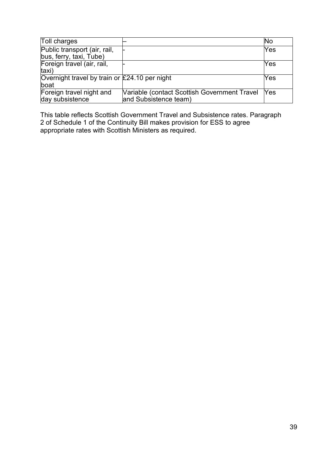| <b>Toll charges</b>                             |                                              | <b>No</b>  |
|-------------------------------------------------|----------------------------------------------|------------|
| Public transport (air, rail,                    |                                              | <b>Yes</b> |
| bus, ferry, taxi, Tube)                         |                                              |            |
| Foreign travel (air, rail,                      |                                              | Yes        |
| taxi)                                           |                                              |            |
| Overnight travel by train or $£24.10$ per night |                                              | Yes        |
| boat                                            |                                              |            |
| Foreign travel night and                        | Variable (contact Scottish Government Travel | Yes        |
| day subsistence                                 | and Subsistence team)                        |            |

This table reflects Scottish Government Travel and Subsistence rates. Paragraph 2 of Schedule 1 of the Continuity Bill makes provision for ESS to agree appropriate rates with Scottish Ministers as required.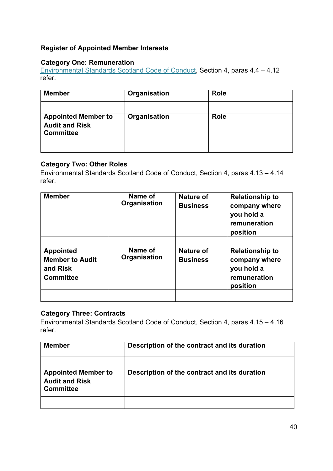## **Register of Appointed Member Interests**

## **Category One: Remuneration**

[Environmental Standards Scotland Code of Conduct,](#page-14-0) Section 4, paras 4.4 – 4.12 refer.

| <b>Member</b>                                                           | Organisation | <b>Role</b> |
|-------------------------------------------------------------------------|--------------|-------------|
|                                                                         |              |             |
| <b>Appointed Member to</b><br><b>Audit and Risk</b><br><b>Committee</b> | Organisation | <b>Role</b> |
|                                                                         |              |             |

## **Category Two: Other Roles**

Environmental Standards Scotland Code of Conduct, Section 4, paras 4.13 – 4.14 refer.

| <b>Member</b>                                                              | Name of<br>Organisation | <b>Nature of</b><br><b>Business</b> | <b>Relationship to</b><br>company where<br>you hold a<br>remuneration<br>position |
|----------------------------------------------------------------------------|-------------------------|-------------------------------------|-----------------------------------------------------------------------------------|
| <b>Appointed</b><br><b>Member to Audit</b><br>and Risk<br><b>Committee</b> | Name of<br>Organisation | Nature of<br><b>Business</b>        | <b>Relationship to</b><br>company where<br>you hold a<br>remuneration<br>position |

## **Category Three: Contracts**

Environmental Standards Scotland Code of Conduct, Section 4, paras 4.15 – 4.16 refer.

| <b>Member</b>                                                           | Description of the contract and its duration |
|-------------------------------------------------------------------------|----------------------------------------------|
|                                                                         |                                              |
| <b>Appointed Member to</b><br><b>Audit and Risk</b><br><b>Committee</b> | Description of the contract and its duration |
|                                                                         |                                              |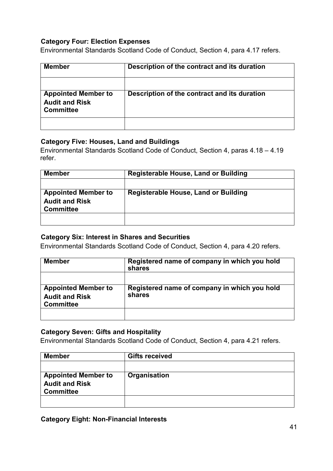#### **Category Four: Election Expenses**

Environmental Standards Scotland Code of Conduct, Section 4, para 4.17 refers.

| <b>Member</b>                                                           | Description of the contract and its duration |
|-------------------------------------------------------------------------|----------------------------------------------|
|                                                                         |                                              |
| <b>Appointed Member to</b><br><b>Audit and Risk</b><br><b>Committee</b> | Description of the contract and its duration |
|                                                                         |                                              |

#### **Category Five: Houses, Land and Buildings**

Environmental Standards Scotland Code of Conduct, Section 4, paras 4.18 – 4.19 refer.

| <b>Member</b>                                                           | Registerable House, Land or Building |  |
|-------------------------------------------------------------------------|--------------------------------------|--|
|                                                                         |                                      |  |
| <b>Appointed Member to</b><br><b>Audit and Risk</b><br><b>Committee</b> | Registerable House, Land or Building |  |
|                                                                         |                                      |  |

#### **Category Six: Interest in Shares and Securities**

Environmental Standards Scotland Code of Conduct, Section 4, para 4.20 refers.

| <b>Member</b>                             | Registered name of company in which you hold<br>shares |  |
|-------------------------------------------|--------------------------------------------------------|--|
| <b>Appointed Member to</b>                | Registered name of company in which you hold           |  |
| <b>Audit and Risk</b><br><b>Committee</b> | shares                                                 |  |
|                                           |                                                        |  |

#### **Category Seven: Gifts and Hospitality**

Environmental Standards Scotland Code of Conduct, Section 4, para 4.21 refers.

| <b>Member</b>                                                           | <b>Gifts received</b> |
|-------------------------------------------------------------------------|-----------------------|
|                                                                         |                       |
| <b>Appointed Member to</b><br><b>Audit and Risk</b><br><b>Committee</b> | Organisation          |
|                                                                         |                       |

**Category Eight: Non-Financial Interests**